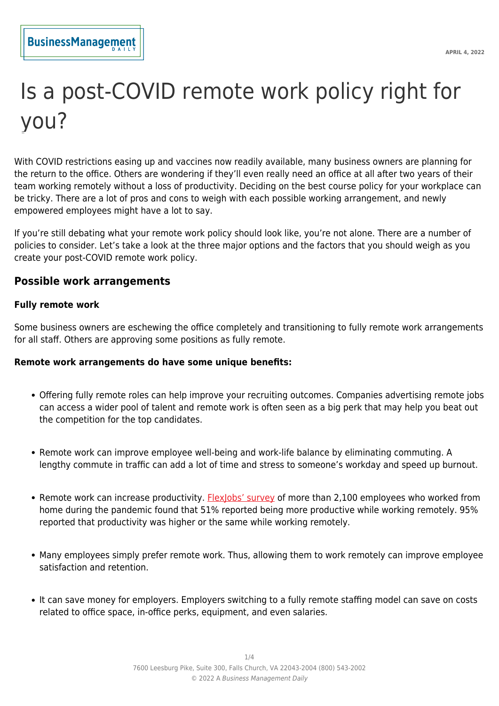# Is a post-COVID remote work policy right for you?

With COVID restrictions easing up and vaccines now readily available, many business owners are planning for the return to the office. Others are wondering if they'll even really need an office at all after two years of their team working remotely without a loss of productivity. Deciding on the best course policy for your workplace can be tricky. There are a lot of pros and cons to weigh with each possible working arrangement, and newly empowered employees might have a lot to say.

If you're still debating what your remote work policy should look like, you're not alone. There are a number of policies to consider. Let's take a look at the three major options and the factors that you should weigh as you create your post-COVID remote work policy.

## **Possible work arrangements**

## **Fully remote work**

Some business owners are eschewing the office completely and transitioning to fully remote work arrangements for all staff. Others are approving some positions as fully remote.

## **Remote work arrangements do have some unique benefits:**

- Offering fully remote roles can help improve your recruiting outcomes. Companies advertising remote jobs can access a wider pool of talent and remote work is often seen as a big perk that may help you beat out the competition for the top candidates.
- Remote work can improve employee well-being and work-life balance by eliminating commuting. A lengthy commute in traffic can add a lot of time and stress to someone's workday and speed up burnout.
- Remote work can increase productivity. [FlexJobs' survey](https://www.flexjobs.com/blog/post/survey-productivity-balance-improve-during-pandemic-remote-work/) of more than 2,100 employees who worked from home during the pandemic found that 51% reported being more productive while working remotely. 95% reported that productivity was higher or the same while working remotely.
- Many employees simply prefer remote work. Thus, allowing them to work remotely can improve employee satisfaction and retention.
- It can save money for employers. Employers switching to a fully remote staffing model can save on costs related to office space, in-office perks, equipment, and even salaries.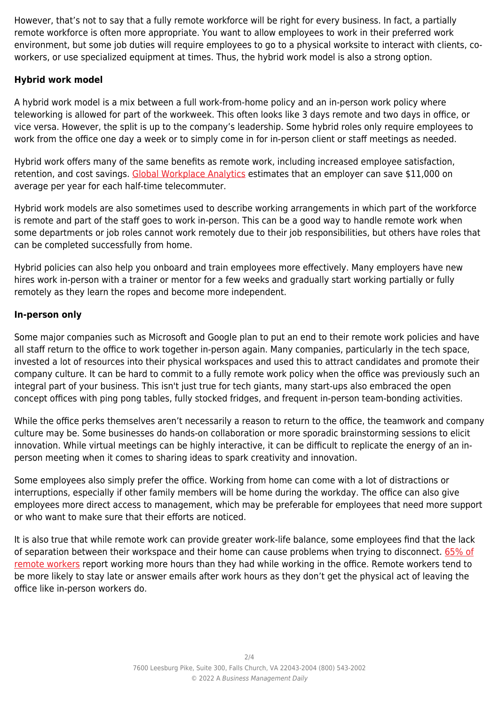However, that's not to say that a fully remote workforce will be right for every business. In fact, a partially remote workforce is often more appropriate. You want to allow employees to work in their preferred work environment, but some job duties will require employees to go to a physical worksite to interact with clients, coworkers, or use specialized equipment at times. Thus, the hybrid work model is also a strong option.

## **Hybrid work model**

A hybrid work model is a mix between a full work-from-home policy and an in-person work policy where teleworking is allowed for part of the workweek. This often looks like 3 days remote and two days in office, or vice versa. However, the split is up to the company's leadership. Some hybrid roles only require employees to work from the office one day a week or to simply come in for in-person client or staff meetings as needed.

Hybrid work offers many of the same benefits as remote work, including increased employee satisfaction, retention, and cost savings. [Global Workplace Analytics](https://globalworkplaceanalytics.com/telecommuting-statistics) estimates that an employer can save \$11,000 on average per year for each half-time telecommuter.

Hybrid work models are also sometimes used to describe working arrangements in which part of the workforce is remote and part of the staff goes to work in-person. This can be a good way to handle remote work when some departments or job roles cannot work remotely due to their job responsibilities, but others have roles that can be completed successfully from home.

Hybrid policies can also help you onboard and train employees more effectively. Many employers have new hires work in-person with a trainer or mentor for a few weeks and gradually start working partially or fully remotely as they learn the ropes and become more independent.

## **In-person only**

Some major companies such as Microsoft and Google plan to put an end to their remote work policies and have all staff return to the office to work together in-person again. Many companies, particularly in the tech space, invested a lot of resources into their physical workspaces and used this to attract candidates and promote their company culture. It can be hard to commit to a fully remote work policy when the office was previously such an integral part of your business. This isn't just true for tech giants, many start-ups also embraced the open concept offices with ping pong tables, fully stocked fridges, and frequent in-person team-bonding activities.

While the office perks themselves aren't necessarily a reason to return to the office, the teamwork and company culture may be. Some businesses do hands-on collaboration or more sporadic brainstorming sessions to elicit innovation. While virtual meetings can be highly interactive, it can be difficult to replicate the energy of an inperson meeting when it comes to sharing ideas to spark creativity and innovation.

Some employees also simply prefer the office. Working from home can come with a lot of distractions or interruptions, especially if other family members will be home during the workday. The office can also give employees more direct access to management, which may be preferable for employees that need more support or who want to make sure that their efforts are noticed.

It is also true that while remote work can provide greater work-life balance, some employees find that the lack of separation between their workspace and their home can cause problems when trying to disconnect. [65% of](https://www.apollotechnical.com/remote-work-burnout-statistics/) [remote workers](https://www.apollotechnical.com/remote-work-burnout-statistics/) report working more hours than they had while working in the office. Remote workers tend to be more likely to stay late or answer emails after work hours as they don't get the physical act of leaving the office like in-person workers do.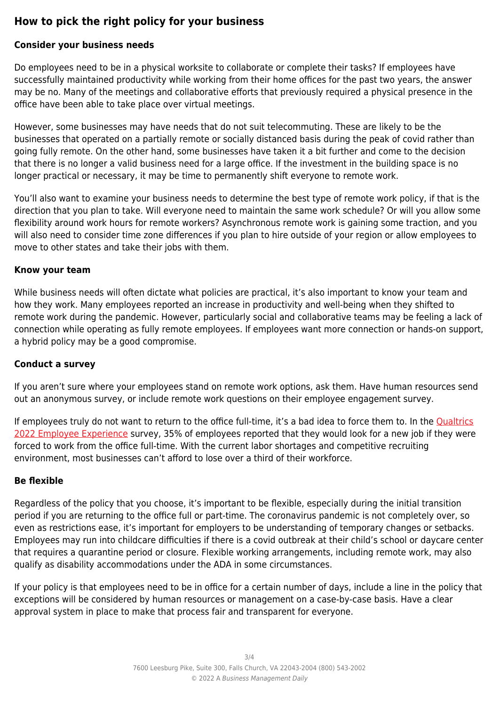# **How to pick the right policy for your business**

## **Consider your business needs**

Do employees need to be in a physical worksite to collaborate or complete their tasks? If employees have successfully maintained productivity while working from their home offices for the past two years, the answer may be no. Many of the meetings and collaborative efforts that previously required a physical presence in the office have been able to take place over virtual meetings.

However, some businesses may have needs that do not suit telecommuting. These are likely to be the businesses that operated on a partially remote or socially distanced basis during the peak of covid rather than going fully remote. On the other hand, some businesses have taken it a bit further and come to the decision that there is no longer a valid business need for a large office. If the investment in the building space is no longer practical or necessary, it may be time to permanently shift everyone to remote work.

You'll also want to examine your business needs to determine the best type of remote work policy, if that is the direction that you plan to take. Will everyone need to maintain the same work schedule? Or will you allow some flexibility around work hours for remote workers? Asynchronous remote work is gaining some traction, and you will also need to consider time zone differences if you plan to hire outside of your region or allow employees to move to other states and take their jobs with them.

#### **Know your team**

While business needs will often dictate what policies are practical, it's also important to know your team and how they work. Many employees reported an increase in productivity and well-being when they shifted to remote work during the pandemic. However, particularly social and collaborative teams may be feeling a lack of connection while operating as fully remote employees. If employees want more connection or hands-on support, a hybrid policy may be a good compromise.

## **Conduct a survey**

If you aren't sure where your employees stand on remote work options, ask them. Have human resources send out an anonymous survey, or include remote work questions on their employee engagement survey.

If employees truly do not want to return to the office full-time, it's a bad idea to force them to. In the [Qualtrics](https://www.qualtrics.com/ebooks-guides/employee-experience-trends-2022/https://www.qualtrics.com/ebooks-guides/employee-experience-trends-2022/) [2022 Employee Experience](https://www.qualtrics.com/ebooks-guides/employee-experience-trends-2022/https://www.qualtrics.com/ebooks-guides/employee-experience-trends-2022/) survey, 35% of employees reported that they would look for a new job if they were forced to work from the office full-time. With the current labor shortages and competitive recruiting environment, most businesses can't afford to lose over a third of their workforce.

## **Be flexible**

Regardless of the policy that you choose, it's important to be flexible, especially during the initial transition period if you are returning to the office full or part-time. The coronavirus pandemic is not completely over, so even as restrictions ease, it's important for employers to be understanding of temporary changes or setbacks. Employees may run into childcare difficulties if there is a covid outbreak at their child's school or daycare center that requires a quarantine period or closure. Flexible working arrangements, including remote work, may also qualify as disability accommodations under the ADA in some circumstances.

If your policy is that employees need to be in office for a certain number of days, include a line in the policy that exceptions will be considered by human resources or management on a case-by-case basis. Have a clear approval system in place to make that process fair and transparent for everyone.